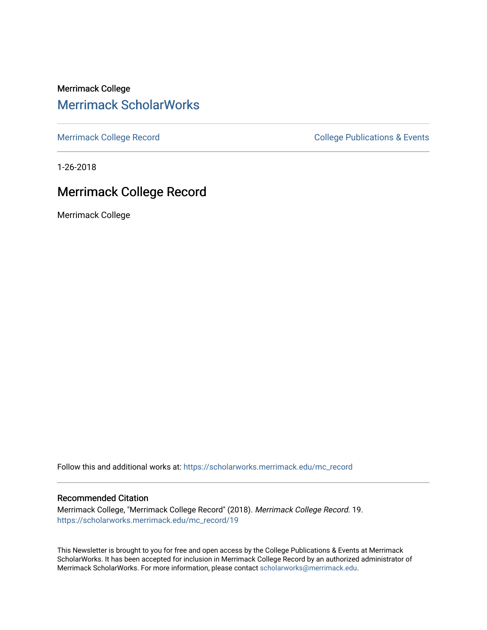Merrimack College [Merrimack ScholarWorks](https://scholarworks.merrimack.edu/) 

[Merrimack College Record](https://scholarworks.merrimack.edu/mc_record) **College Record** College Publications & Events

1-26-2018

# Merrimack College Record

Merrimack College

Follow this and additional works at: [https://scholarworks.merrimack.edu/mc\\_record](https://scholarworks.merrimack.edu/mc_record?utm_source=scholarworks.merrimack.edu%2Fmc_record%2F19&utm_medium=PDF&utm_campaign=PDFCoverPages) 

#### Recommended Citation

Merrimack College, "Merrimack College Record" (2018). Merrimack College Record. 19. [https://scholarworks.merrimack.edu/mc\\_record/19](https://scholarworks.merrimack.edu/mc_record/19?utm_source=scholarworks.merrimack.edu%2Fmc_record%2F19&utm_medium=PDF&utm_campaign=PDFCoverPages)

This Newsletter is brought to you for free and open access by the College Publications & Events at Merrimack ScholarWorks. It has been accepted for inclusion in Merrimack College Record by an authorized administrator of Merrimack ScholarWorks. For more information, please contact [scholarworks@merrimack.edu](mailto:scholarworks@merrimack.edu).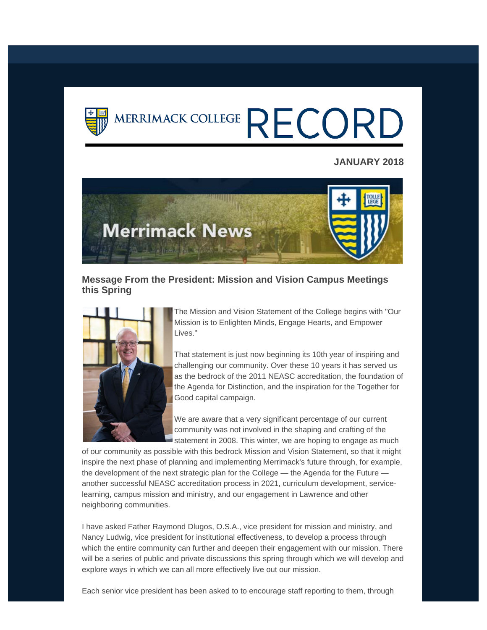

# MERRIMACK COLLEGE RECORD

## **JANUARY 2018**



## **Message From the President: Mission and Vision Campus Meetings this Spring**



The Mission and Vision Statement of the College begins with "Our Mission is to Enlighten Minds, Engage Hearts, and Empower Lives."

That statement is just now beginning its 10th year of inspiring and challenging our community. Over these 10 years it has served us as the bedrock of the 2011 NEASC accreditation, the foundation of the Agenda for Distinction, and the inspiration for the Together for Good capital campaign.

We are aware that a very significant percentage of our current community was not involved in the shaping and crafting of the statement in 2008. This winter, we are hoping to engage as much

of our community as possible with this bedrock Mission and Vision Statement, so that it might inspire the next phase of planning and implementing Merrimack's future through, for example, the development of the next strategic plan for the College — the Agenda for the Future another successful NEASC accreditation process in 2021, curriculum development, servicelearning, campus mission and ministry, and our engagement in Lawrence and other neighboring communities.

I have asked Father Raymond Dlugos, O.S.A., vice president for mission and ministry, and Nancy Ludwig, vice president for institutional effectiveness, to develop a process through which the entire community can further and deepen their engagement with our mission. There will be a series of public and private discussions this spring through which we will develop and explore ways in which we can all more effectively live out our mission.

Each senior vice president has been asked to to encourage staff reporting to them, through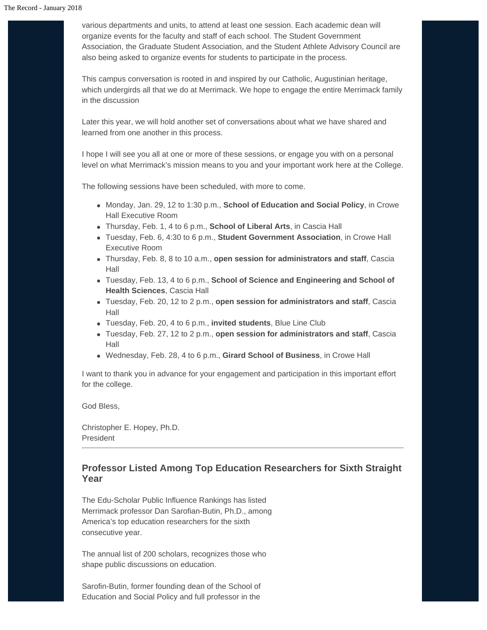various departments and units, to attend at least one session. Each academic dean will organize events for the faculty and staff of each school. The Student Government Association, the Graduate Student Association, and the Student Athlete Advisory Council are also being asked to organize events for students to participate in the process.

This campus conversation is rooted in and inspired by our Catholic, Augustinian heritage, which undergirds all that we do at Merrimack. We hope to engage the entire Merrimack family in the discussion

Later this year, we will hold another set of conversations about what we have shared and learned from one another in this process.

I hope I will see you all at one or more of these sessions, or engage you with on a personal level on what Merrimack's mission means to you and your important work here at the College.

The following sessions have been scheduled, with more to come.

- Monday, Jan. 29, 12 to 1:30 p.m., **School of Education and Social Policy**, in Crowe Hall Executive Room
- Thursday, Feb. 1, 4 to 6 p.m., **School of Liberal Arts**, in Cascia Hall
- Tuesday, Feb. 6, 4:30 to 6 p.m., **Student Government Association**, in Crowe Hall Executive Room
- Thursday, Feb. 8, 8 to 10 a.m., **open session for administrators and staff**, Cascia Hall
- Tuesday, Feb. 13, 4 to 6 p.m., **School of Science and Engineering and School of Health Sciences**, Cascia Hall
- Tuesday, Feb. 20, 12 to 2 p.m., **open session for administrators and staff**, Cascia Hall
- Tuesday, Feb. 20, 4 to 6 p.m., **invited students**, Blue Line Club
- Tuesday, Feb. 27, 12 to 2 p.m., **open session for administrators and staff**, Cascia Hall
- Wednesday, Feb. 28, 4 to 6 p.m., **Girard School of Business**, in Crowe Hall

I want to thank you in advance for your engagement and participation in this important effort for the college.

God Bless,

Christopher E. Hopey, Ph.D. President

## **Professor Listed Among Top Education Researchers for Sixth Straight Year**

The Edu-Scholar Public Influence Rankings has listed Merrimack professor Dan Sarofian-Butin, Ph.D., among America's top education researchers for the sixth consecutive year.

The annual list of 200 scholars, recognizes those who shape public discussions on education.

Sarofin-Butin, former founding dean of the School of Education and Social Policy and full professor in the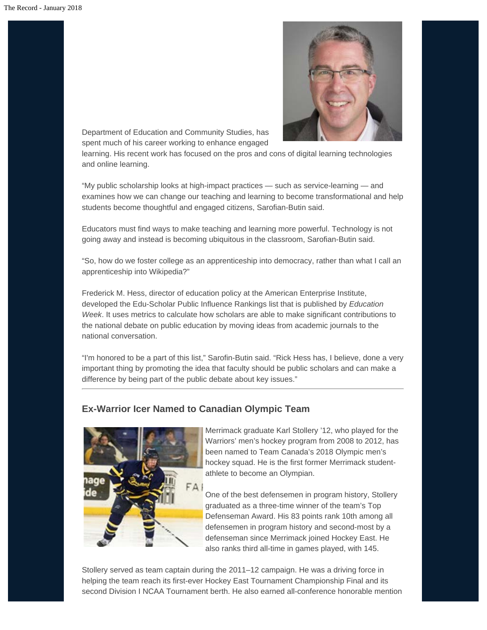

Department of Education and Community Studies, has spent much of his career working to enhance engaged

learning. His recent work has focused on the pros and cons of digital learning technologies and online learning.

"My public scholarship looks at high-impact practices — such as service-learning — and examines how we can change our teaching and learning to become transformational and help students become thoughtful and engaged citizens, Sarofian-Butin said.

Educators must find ways to make teaching and learning more powerful. Technology is not going away and instead is becoming ubiquitous in the classroom, Sarofian-Butin said.

"So, how do we foster college as an apprenticeship into democracy, rather than what I call an apprenticeship into Wikipedia?"

Frederick M. Hess, director of education policy at the American Enterprise Institute, developed the Edu-Scholar Public Influence Rankings list that is published by *Education Week*. It uses metrics to calculate how scholars are able to make significant contributions to the national debate on public education by moving ideas from academic journals to the national conversation.

"I'm honored to be a part of this list," Sarofin-Butin said. "Rick Hess has, I believe, done a very important thing by promoting the idea that faculty should be public scholars and can make a difference by being part of the public debate about key issues."

# **Ex-Warrior Icer Named to Canadian Olympic Team**



Merrimack graduate Karl Stollery '12, who played for the Warriors' men's hockey program from 2008 to 2012, has been named to Team Canada's 2018 Olympic men's hockey squad. He is the first former Merrimack studentathlete to become an Olympian.

One of the best defensemen in program history, Stollery graduated as a three-time winner of the team's Top Defenseman Award. His 83 points rank 10th among all defensemen in program history and second-most by a defenseman since Merrimack joined Hockey East. He also ranks third all-time in games played, with 145.

Stollery served as team captain during the 2011–12 campaign. He was a driving force in helping the team reach its first-ever Hockey East Tournament Championship Final and its second Division I NCAA Tournament berth. He also earned all-conference honorable mention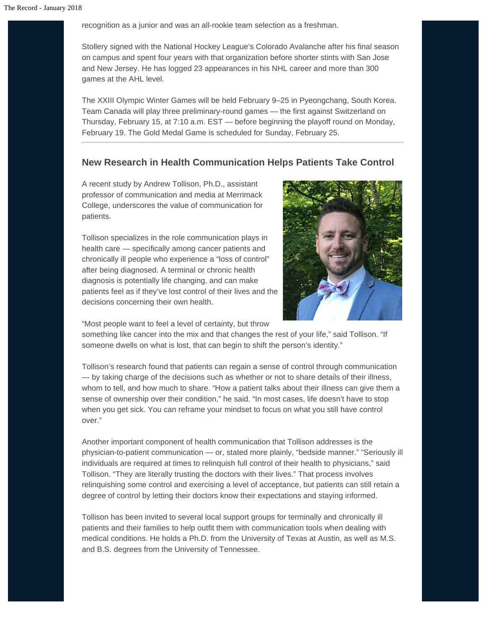recognition as a junior and was an all-rookie team selection as a freshman.

Stollery signed with the National Hockey League's Colorado Avalanche after his final season on campus and spent four years with that organization before shorter stints with San Jose and New Jersey. He has logged 23 appearances in his NHL career and more than 300 games at the AHL level.

The XXIII Olympic Winter Games will be held February 9–25 in Pyeongchang, South Korea. Team Canada will play three preliminary-round games — the first against Switzerland on Thursday, February 15, at 7:10 a.m. EST — before beginning the playoff round on Monday, February 19. The Gold Medal Game is scheduled for Sunday, February 25.

# **New Research in Health Communication Helps Patients Take Control**

A recent study by Andrew Tollison, Ph.D., assistant professor of communication and media at Merrimack College, underscores the value of communication for patients.

Tollison specializes in the role communication plays in health care — specifically among cancer patients and chronically ill people who experience a "loss of control" after being diagnosed. A terminal or chronic health diagnosis is potentially life changing, and can make patients feel as if they've lost control of their lives and the decisions concerning their own health.



"Most people want to feel a level of certainty, but throw

something like cancer into the mix and that changes the rest of your life," said Tollison. "If someone dwells on what is lost, that can begin to shift the person's identity."

Tollison's research found that patients can regain a sense of control through communication — by taking charge of the decisions such as whether or not to share details of their illness, whom to tell, and how much to share. "How a patient talks about their illness can give them a sense of ownership over their condition," he said. "In most cases, life doesn't have to stop when you get sick. You can reframe your mindset to focus on what you still have control over."

Another important component of health communication that Tollison addresses is the physician-to-patient communication — or, stated more plainly, "bedside manner." "Seriously ill individuals are required at times to relinquish full control of their health to physicians," said Tollison. "They are literally trusting the doctors with their lives." That process involves relinquishing some control and exercising a level of acceptance, but patients can still retain a degree of control by letting their doctors know their expectations and staying informed.

Tollison has been invited to several local support groups for terminally and chronically ill patients and their families to help outfit them with communication tools when dealing with medical conditions. He holds a Ph.D. from the University of Texas at Austin, as well as M.S. and B.S. degrees from the University of Tennessee.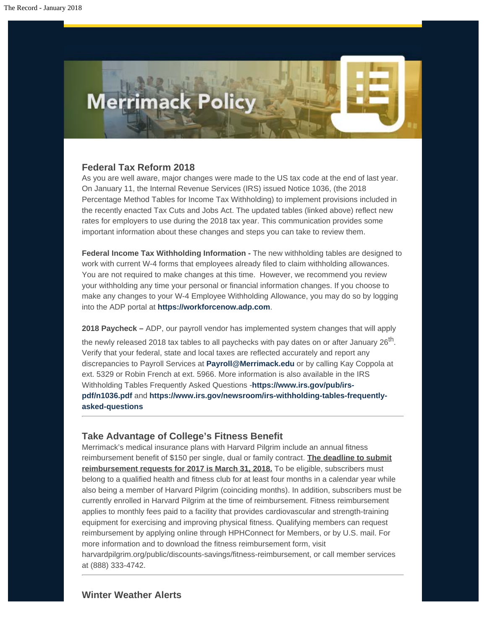

#### **Federal Tax Reform 2018**

As you are well aware, major changes were made to the US tax code at the end of last year. On January 11, the Internal Revenue Services (IRS) issued Notice 1036, (the 2018 Percentage Method Tables for Income Tax Withholding) to implement provisions included in the recently enacted Tax Cuts and Jobs Act. The updated tables (linked above) reflect new rates for employers to use during the 2018 tax year. This communication provides some important information about these changes and steps you can take to review them.

**Federal Income Tax Withholding Information -** The new withholding tables are designed to work with current W-4 forms that employees already filed to claim withholding allowances. You are not required to make changes at this time. However, we recommend you review your withholding any time your personal or financial information changes. If you choose to make any changes to your W-4 Employee Withholding Allowance, you may do so by logging into the ADP portal at **[https://workforcenow.adp.com](https://workforcenow.adp.com/)**.

**2018 Paycheck –** ADP, our payroll vendor has implemented system changes that will apply

the newly released 2018 tax tables to all paychecks with pay dates on or after January  $26<sup>th</sup>$ . Verify that your federal, state and local taxes are reflected accurately and report any discrepancies to Payroll Services at **[Payroll@Merrimack.edu](mailto:Payroll@Merrimack.edu)** or by calling Kay Coppola at ext. 5329 or Robin French at ext. 5966. More information is also available in the IRS Withholding Tables Frequently Asked Questions -**[https://www.irs.gov/pub/irs](https://www.irs.gov/pub/irs-pdf/n1036.pdf)[pdf/n1036.pdf](https://www.irs.gov/pub/irs-pdf/n1036.pdf)** and **[https://www.irs.gov/newsroom/irs-withholding-tables-frequently](https://www.irs.gov/newsroom/irs-withholding-tables-frequently-asked-questions)[asked-questions](https://www.irs.gov/newsroom/irs-withholding-tables-frequently-asked-questions)**

#### **Take Advantage of College's Fitness Benefit**

Merrimack's medical insurance plans with Harvard Pilgrim include an annual fitness reimbursement benefit of \$150 per single, dual or family contract. **The deadline to submit reimbursement requests for 2017 is March 31, 2018.** To be eligible, subscribers must belong to a qualified health and fitness club for at least four months in a calendar year while also being a member of Harvard Pilgrim (coinciding months). In addition, subscribers must be currently enrolled in Harvard Pilgrim at the time of reimbursement. Fitness reimbursement applies to monthly fees paid to a facility that provides cardiovascular and strength-training equipment for exercising and improving physical fitness. Qualifying members can request reimbursement by applying online through HPHConnect for Members, or by U.S. mail. For more information and to download the fitness reimbursement form, visit harvardpilgrim.org/public/discounts-savings/fitness-reimbursement, or call member services at (888) 333-4742.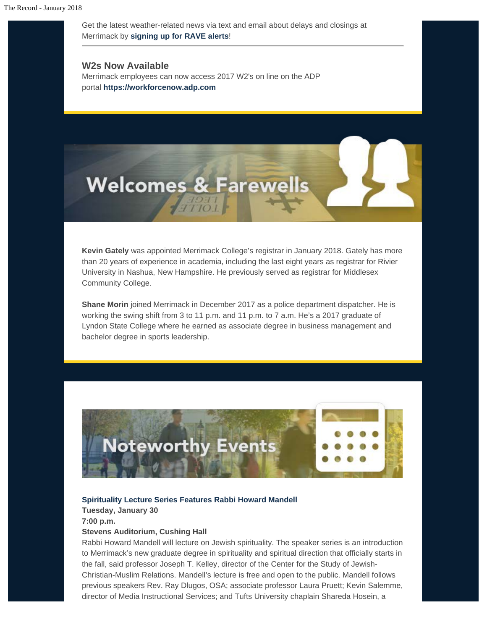Get the latest weather-related news via text and email about delays and closings at Merrimack by **[signing up for RAVE alerts](https://www.getrave.com/login/merrimack)**!

**W2s Now Available** Merrimack employees can now access 2017 W2's on line on the ADP portal **[https://workforcenow.adp.com](https://workforcenow.adp.com/)**



**Kevin Gately** was appointed Merrimack College's registrar in January 2018. Gately has more than 20 years of experience in academia, including the last eight years as registrar for Rivier University in Nashua, New Hampshire. He previously served as registrar for Middlesex Community College.

**Shane Morin** joined Merrimack in December 2017 as a police department dispatcher. He is working the swing shift from 3 to 11 p.m. and 11 p.m. to 7 a.m. He's a 2017 graduate of Lyndon State College where he earned as associate degree in business management and bachelor degree in sports leadership.



#### **[Spirituality Lecture Series Features Rabbi Howard Mandell](https://www.merrimack.edu/live/events/967891-spirituality-series-jewish-spirituality)**

**Tuesday, January 30 7:00 p.m.**

#### **Stevens Auditorium, Cushing Hall**

Rabbi Howard Mandell will lecture on Jewish spirituality. The speaker series is an introduction to Merrimack's new graduate degree in spirituality and spiritual direction that officially starts in the fall, said professor Joseph T. Kelley, director of the Center for the Study of Jewish-Christian-Muslim Relations. Mandell's lecture is free and open to the public. Mandell follows previous speakers Rev. Ray Dlugos, OSA; associate professor Laura Pruett; Kevin Salemme, director of Media Instructional Services; and Tufts University chaplain Shareda Hosein, a